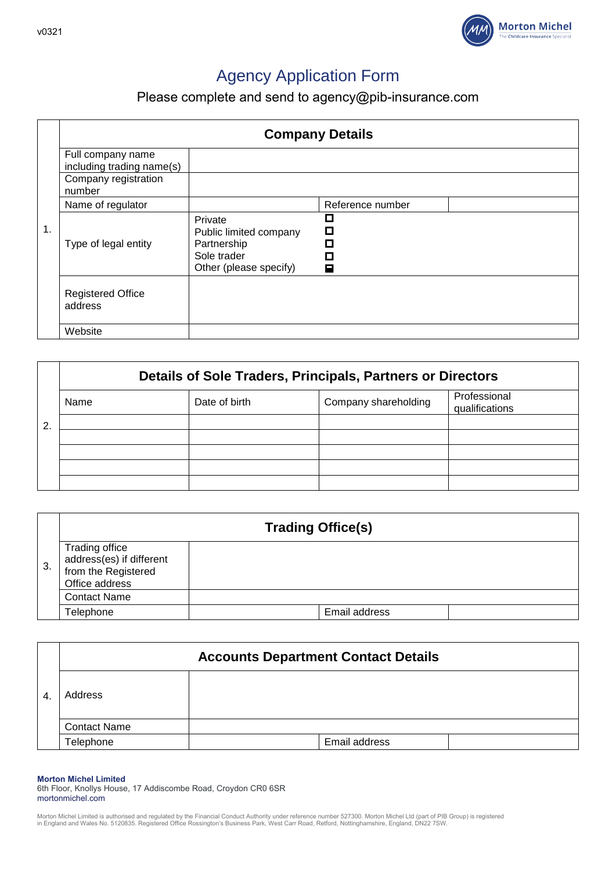

# Agency Application Form

Please complete and send to [agency@pib-insurance.com](mailto:agency@pib-insurance.com)

|    | <b>Company Details</b>                         |                                                                                           |                       |  |
|----|------------------------------------------------|-------------------------------------------------------------------------------------------|-----------------------|--|
|    | Full company name<br>including trading name(s) |                                                                                           |                       |  |
|    | Company registration<br>number                 |                                                                                           |                       |  |
|    | Name of regulator                              |                                                                                           | Reference number      |  |
| 1. | Type of legal entity                           | Private<br>Public limited company<br>Partnership<br>Sole trader<br>Other (please specify) | $\Box$<br>О<br>п<br>⊟ |  |
|    | <b>Registered Office</b><br>address            |                                                                                           |                       |  |
|    | Website                                        |                                                                                           |                       |  |

|   | Details of Sole Traders, Principals, Partners or Directors |               |                      |                                |
|---|------------------------------------------------------------|---------------|----------------------|--------------------------------|
|   | Name                                                       | Date of birth | Company shareholding | Professional<br>qualifications |
| 2 |                                                            |               |                      |                                |
|   |                                                            |               |                      |                                |
|   |                                                            |               |                      |                                |
|   |                                                            |               |                      |                                |
|   |                                                            |               |                      |                                |

|    |                                                                                     | <b>Trading Office(s)</b> |  |
|----|-------------------------------------------------------------------------------------|--------------------------|--|
| 3. | Trading office<br>address(es) if different<br>from the Registered<br>Office address |                          |  |
|    | <b>Contact Name</b>                                                                 |                          |  |
|    | Telephone                                                                           | Email address            |  |

|                |                     | <b>Accounts Department Contact Details</b> |  |
|----------------|---------------------|--------------------------------------------|--|
| $\overline{4}$ | Address             |                                            |  |
|                | <b>Contact Name</b> |                                            |  |
|                | Telephone           | Email address                              |  |

**Morton Michel Limited**

6th Floor, Knollys House, 17 Addiscombe Road, Croydon CR0 6SR mortonmichel.com

Morton Michel Limited is authorised and regulated by the Financial Conduct Authority under reference number 527300. Morton Michel Ltd (part of PIB Group) is registered<br>in England and Wales No. 5120835. Registered Office Ro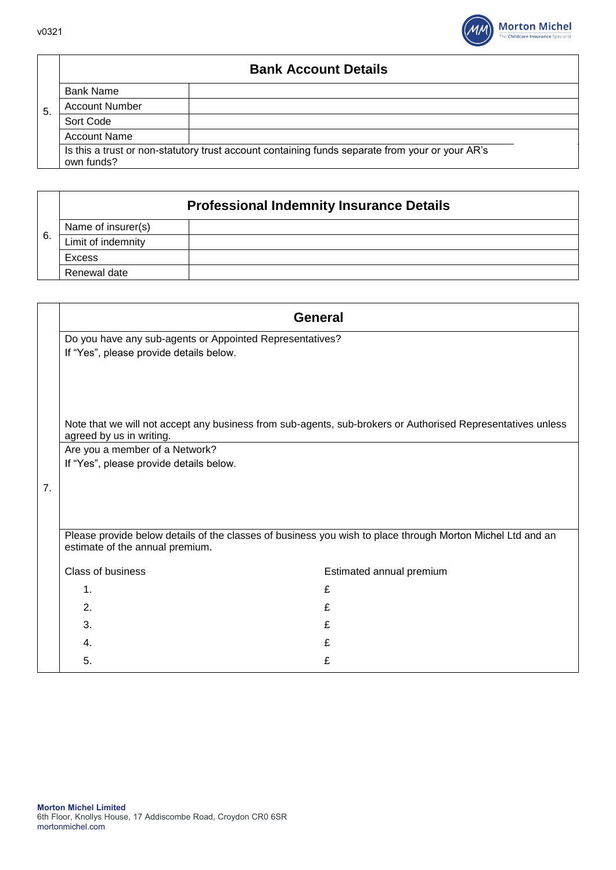

## **Bank Account Details**

|     | <b>Bank Name</b>      |                                                                                                 |  |
|-----|-----------------------|-------------------------------------------------------------------------------------------------|--|
| -5. | <b>Account Number</b> |                                                                                                 |  |
|     | Sort Code             |                                                                                                 |  |
|     | <b>Account Name</b>   |                                                                                                 |  |
|     |                       | Is this a trust or non-statutory trust account containing funds separate from your or your AR's |  |
|     | own funds?            |                                                                                                 |  |

## **Professional Indemnity Insurance Details**

|    | Name of insurer(s) |  |
|----|--------------------|--|
| 6. | Limit of indemnity |  |
|    | Excess             |  |
|    | Renewal date       |  |

|                | <b>General</b>                                                                                      |                                                                                                             |
|----------------|-----------------------------------------------------------------------------------------------------|-------------------------------------------------------------------------------------------------------------|
|                | Do you have any sub-agents or Appointed Representatives?<br>If "Yes", please provide details below. |                                                                                                             |
|                | agreed by us in writing.                                                                            | Note that we will not accept any business from sub-agents, sub-brokers or Authorised Representatives unless |
|                | Are you a member of a Network?                                                                      |                                                                                                             |
|                | If "Yes", please provide details below.                                                             |                                                                                                             |
| 7 <sub>1</sub> |                                                                                                     |                                                                                                             |
|                | estimate of the annual premium.                                                                     | Please provide below details of the classes of business you wish to place through Morton Michel Ltd and an  |
|                | Class of business                                                                                   | Estimated annual premium                                                                                    |
|                | $\mathbf{1}$ .                                                                                      | £                                                                                                           |
|                | 2.                                                                                                  | £                                                                                                           |
|                | 3.                                                                                                  | £                                                                                                           |
|                | 4.                                                                                                  | £                                                                                                           |
|                | 5.                                                                                                  | £                                                                                                           |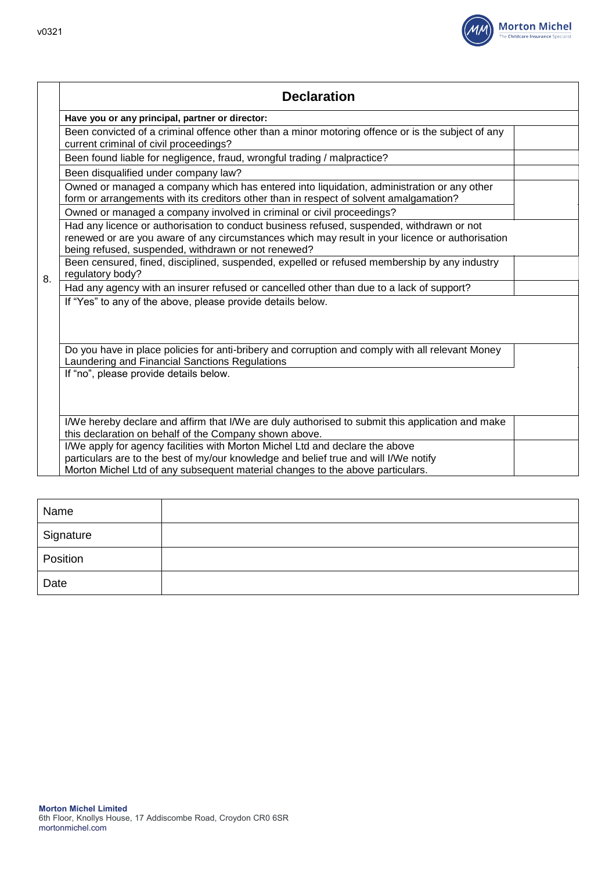

|    | <b>Declaration</b>                                                                                                                                                                                                                                      |  |
|----|---------------------------------------------------------------------------------------------------------------------------------------------------------------------------------------------------------------------------------------------------------|--|
|    | Have you or any principal, partner or director:                                                                                                                                                                                                         |  |
|    | Been convicted of a criminal offence other than a minor motoring offence or is the subject of any<br>current criminal of civil proceedings?                                                                                                             |  |
|    | Been found liable for negligence, fraud, wrongful trading / malpractice?                                                                                                                                                                                |  |
|    | Been disqualified under company law?                                                                                                                                                                                                                    |  |
|    | Owned or managed a company which has entered into liquidation, administration or any other<br>form or arrangements with its creditors other than in respect of solvent amalgamation?                                                                    |  |
|    | Owned or managed a company involved in criminal or civil proceedings?                                                                                                                                                                                   |  |
|    | Had any licence or authorisation to conduct business refused, suspended, withdrawn or not<br>renewed or are you aware of any circumstances which may result in your licence or authorisation<br>being refused, suspended, withdrawn or not renewed?     |  |
| 8. | Been censured, fined, disciplined, suspended, expelled or refused membership by any industry<br>regulatory body?                                                                                                                                        |  |
|    | Had any agency with an insurer refused or cancelled other than due to a lack of support?                                                                                                                                                                |  |
|    | If "Yes" to any of the above, please provide details below.                                                                                                                                                                                             |  |
|    | Do you have in place policies for anti-bribery and corruption and comply with all relevant Money<br>Laundering and Financial Sanctions Regulations                                                                                                      |  |
|    | If "no", please provide details below.                                                                                                                                                                                                                  |  |
|    | I/We hereby declare and affirm that I/We are duly authorised to submit this application and make<br>this declaration on behalf of the Company shown above.                                                                                              |  |
|    | I/We apply for agency facilities with Morton Michel Ltd and declare the above<br>particulars are to the best of my/our knowledge and belief true and will I/We notify<br>Morton Michel Ltd of any subsequent material changes to the above particulars. |  |
|    |                                                                                                                                                                                                                                                         |  |

| Name      |  |
|-----------|--|
| Signature |  |
| Position  |  |
| Date      |  |

 $\mathbf{I}$